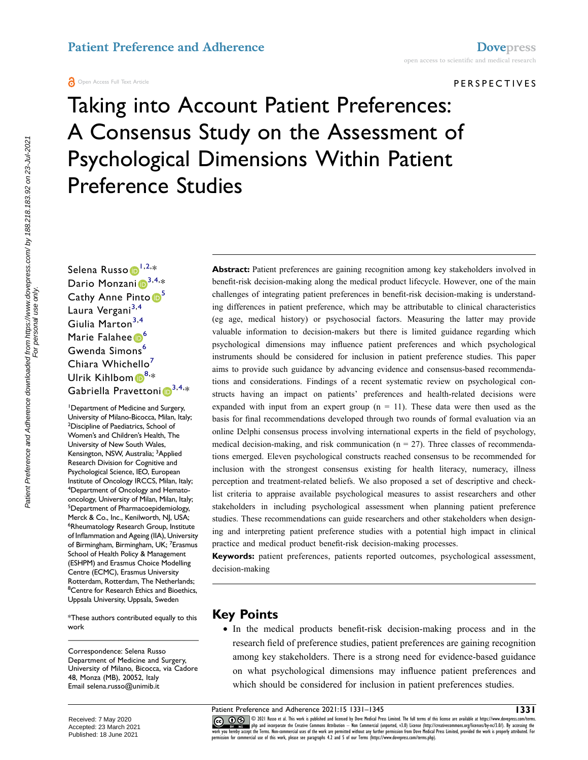#### PERSPECTIVES

# Taking into Account Patient Preferences: A Consensus Study on the Assessment of Psychological Dimensions Within Patient Preference Studies

Selena Russo D<sup>[1,](#page-0-0)[2](#page-0-1),</sup>\* Dario Monzani $\mathbf{D}^{3,4,*}$  $\mathbf{D}^{3,4,*}$  $\mathbf{D}^{3,4,*}$  $\mathbf{D}^{3,4,*}$  $\mathbf{D}^{3,4,*}$ Cathy Anne Pinto <sup>5</sup> Laura Vergani<sup>[3](#page-0-2),[4](#page-0-3)</sup> Giulia Marton<sup>[3,](#page-0-2)4</sup> Marie Falahee 6 Gwenda Simons<sup>6</sup> Chiara Whichello<sup>7</sup> Ulrik Kihlbom $\textcolor{red}{\bullet}^{8,*}$  $\textcolor{red}{\bullet}^{8,*}$  $\textcolor{red}{\bullet}^{8,*}$ Gabriella Pravettoni $\mathbf{D}^{3,4,\ast}$  $\mathbf{D}^{3,4,\ast}$  $\mathbf{D}^{3,4,\ast}$  $\mathbf{D}^{3,4,\ast}$ 

<span id="page-0-4"></span><span id="page-0-3"></span><span id="page-0-2"></span><span id="page-0-1"></span><span id="page-0-0"></span>1 Department of Medicine and Surgery, University of Milano-Bicocca, Milan, Italy; <sup>2</sup>Discipline of Paediatrics, School of Women's and Children's Health, The University of New South Wales, Kensington, NSW, Australia; <sup>3</sup>Applied Research Division for Cognitive and Psychological Science, IEO, European Institute of Oncology IRCCS, Milan, Italy; <sup>4</sup>Department of Oncology and Hematooncology, University of Milan, Milan, Italy; <sup>5</sup>Department of Pharmacoepidemiology, Merck & Co., Inc., Kenilworth, NJ, USA; 6 Rheumatology Research Group, Institute of Inflammation and Ageing (IIA), University of Birmingham, Birmingham, UK; <sup>7</sup>Erasmus School of Health Policy & Management (ESHPM) and Erasmus Choice Modelling Centre (ECMC), Erasmus University Rotterdam, Rotterdam, The Netherlands; <sup>8</sup> Centre for Research Ethics and Bioethics, Uppsala University, Uppsala, Sweden

<span id="page-0-7"></span><span id="page-0-6"></span><span id="page-0-5"></span>\*These authors contributed equally to this work

Correspondence: Selena Russo Department of Medicine and Surgery, University of Milano, Bicocca, via Cadore 48, Monza (MB), 20052, Italy Email [selena.russo@unimib.it](mailto:selena.russo@unimib.it)

Abstract: Patient preferences are gaining recognition among key stakeholders involved in benefit-risk decision-making along the medical product lifecycle. However, one of the main challenges of integrating patient preferences in benefit-risk decision-making is understanding differences in patient preference, which may be attributable to clinical characteristics (eg age, medical history) or psychosocial factors. Measuring the latter may provide valuable information to decision-makers but there is limited guidance regarding which psychological dimensions may influence patient preferences and which psychological instruments should be considered for inclusion in patient preference studies. This paper aims to provide such guidance by advancing evidence and consensus-based recommendations and considerations. Findings of a recent systematic review on psychological constructs having an impact on patients' preferences and health-related decisions were expanded with input from an expert group  $(n = 11)$ . These data were then used as the basis for final recommendations developed through two rounds of formal evaluation via an online Delphi consensus process involving international experts in the field of psychology, medical decision-making, and risk communication ( $n = 27$ ). Three classes of recommendations emerged. Eleven psychological constructs reached consensus to be recommended for inclusion with the strongest consensus existing for health literacy, numeracy, illness perception and treatment-related beliefs. We also proposed a set of descriptive and checklist criteria to appraise available psychological measures to assist researchers and other stakeholders in including psychological assessment when planning patient preference studies. These recommendations can guide researchers and other stakeholders when designing and interpreting patient preference studies with a potential high impact in clinical practice and medical product benefit-risk decision-making processes.

**Keywords:** patient preferences, patients reported outcomes, psychological assessment, decision-making

### **Key Points**

● In the medical products benefit-risk decision-making process and in the research field of preference studies, patient preferences are gaining recognition among key stakeholders. There is a strong need for evidence-based guidance on what psychological dimensions may influence patient preferences and which should be considered for inclusion in patient preferences studies.

Patient Preference and Adherence 2021:15 1331–1345<br> **1331 1331–1345** 10221 Russo et al. This work is published and licensed by Dove Medical Press Limited. The full terms of this license are available at https://www.dovep CO CO 3021 Russo et al. This work is published and licensed by Dove Medical Press Limited. The full terms of this license are available at https://www. The state of the and incorporate the Creative Commons Attribution — Non Commercial (unported, v3.0) License (http://creativecommons.org/license/by-nc/3.0/). By accessing the work is properly attributed. For expective under

Received: 7 May 2020 Accepted: 23 March 2021 Published: 18 June 2021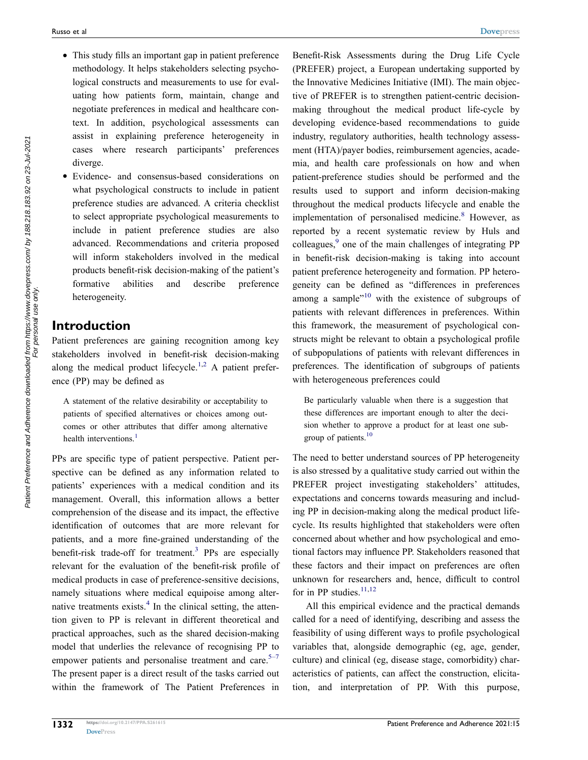- This study fills an important gap in patient preference methodology. It helps stakeholders selecting psychological constructs and measurements to use for evaluating how patients form, maintain, change and negotiate preferences in medical and healthcare context. In addition, psychological assessments can assist in explaining preference heterogeneity in cases where research participants' preferences diverge.
- Evidence- and consensus-based considerations on what psychological constructs to include in patient preference studies are advanced. A criteria checklist to select appropriate psychological measurements to include in patient preference studies are also advanced. Recommendations and criteria proposed will inform stakeholders involved in the medical products benefit-risk decision-making of the patient's formative abilities and describe preference heterogeneity.

# **Introduction**

<span id="page-1-0"></span>Patient preferences are gaining recognition among key stakeholders involved in benefit-risk decision-making along the medical product lifecycle.<sup>[1,](#page-13-0)[2](#page-13-1)</sup> A patient preference (PP) may be defined as

A statement of the relative desirability or acceptability to patients of specified alternatives or choices among outcomes or other attributes that differ among alternative health interventions.<sup>1</sup>

<span id="page-1-2"></span><span id="page-1-1"></span>PPs are specific type of patient perspective. Patient perspective can be defined as any information related to patients' experiences with a medical condition and its management. Overall, this information allows a better comprehension of the disease and its impact, the effective identification of outcomes that are more relevant for patients, and a more fine-grained understanding of the benefit-risk trade-off for treatment.<sup>3</sup> PPs are especially relevant for the evaluation of the benefit-risk profile of medical products in case of preference-sensitive decisions, namely situations where medical equipoise among alternative treatments exists. $4$  In the clinical setting, the attention given to PP is relevant in different theoretical and practical approaches, such as the shared decision-making model that underlies the relevance of recognising PP to empower patients and personalise treatment and care. $5-7$ The present paper is a direct result of the tasks carried out within the framework of The Patient Preferences in <span id="page-1-3"></span>Benefit-Risk Assessments during the Drug Life Cycle (PREFER) project, a European undertaking supported by the Innovative Medicines Initiative (IMI). The main objective of PREFER is to strengthen patient-centric decisionmaking throughout the medical product life-cycle by developing evidence-based recommendations to guide industry, regulatory authorities, health technology assessment (HTA)/payer bodies, reimbursement agencies, academia, and health care professionals on how and when patient-preference studies should be performed and the results used to support and inform decision-making throughout the medical products lifecycle and enable the implementation of personalised medicine.<sup>8</sup> However, as reported by a recent systematic review by Huls and colleagues[,9](#page-13-6) one of the main challenges of integrating PP in benefit-risk decision-making is taking into account patient preference heterogeneity and formation. PP heterogeneity can be defined as "differences in preferences among a sample $^{10}$  with the existence of subgroups of patients with relevant differences in preferences. Within this framework, the measurement of psychological constructs might be relevant to obtain a psychological profile of subpopulations of patients with relevant differences in preferences. The identification of subgroups of patients with heterogeneous preferences could

<span id="page-1-4"></span>Be particularly valuable when there is a suggestion that these differences are important enough to alter the decision whether to approve a product for at least one subgroup of patients.<sup>10</sup>

The need to better understand sources of PP heterogeneity is also stressed by a qualitative study carried out within the PREFER project investigating stakeholders' attitudes, expectations and concerns towards measuring and including PP in decision-making along the medical product lifecycle. Its results highlighted that stakeholders were often concerned about whether and how psychological and emotional factors may influence PP. Stakeholders reasoned that these factors and their impact on preferences are often unknown for researchers and, hence, difficult to control for in PP studies. $11,12$  $11,12$ 

<span id="page-1-5"></span>All this empirical evidence and the practical demands called for a need of identifying, describing and assess the feasibility of using different ways to profile psychological variables that, alongside demographic (eg, age, gender, culture) and clinical (eg, disease stage, comorbidity) characteristics of patients, can affect the construction, elicitation, and interpretation of PP. With this purpose,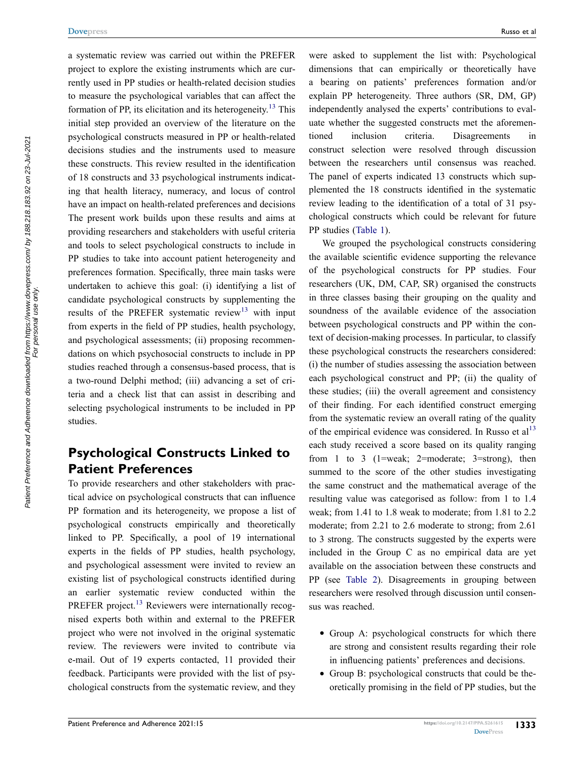a systematic review was carried out within the PREFER project to explore the existing instruments which are currently used in PP studies or health-related decision studies to measure the psychological variables that can affect the formation of PP, its elicitation and its heterogeneity.<sup>[13](#page-13-10)</sup> This initial step provided an overview of the literature on the psychological constructs measured in PP or health-related decisions studies and the instruments used to measure these constructs. This review resulted in the identification of 18 constructs and 33 psychological instruments indicating that health literacy, numeracy, and locus of control have an impact on health-related preferences and decisions The present work builds upon these results and aims at providing researchers and stakeholders with useful criteria and tools to select psychological constructs to include in PP studies to take into account patient heterogeneity and preferences formation. Specifically, three main tasks were undertaken to achieve this goal: (i) identifying a list of candidate psychological constructs by supplementing the results of the PREFER systematic review<sup>[13](#page-13-10)</sup> with input from experts in the field of PP studies, health psychology, and psychological assessments; (ii) proposing recommendations on which psychosocial constructs to include in PP studies reached through a consensus-based process, that is a two-round Delphi method; (iii) advancing a set of criteria and a check list that can assist in describing and selecting psychological instruments to be included in PP studies.

# **Psychological Constructs Linked to Patient Preferences**

To provide researchers and other stakeholders with practical advice on psychological constructs that can influence PP formation and its heterogeneity, we propose a list of psychological constructs empirically and theoretically linked to PP. Specifically, a pool of 19 international experts in the fields of PP studies, health psychology, and psychological assessment were invited to review an existing list of psychological constructs identified during an earlier systematic review conducted within the PREFER project.<sup>13</sup> Reviewers were internationally recognised experts both within and external to the PREFER project who were not involved in the original systematic review. The reviewers were invited to contribute via e-mail. Out of 19 experts contacted, 11 provided their feedback. Participants were provided with the list of psychological constructs from the systematic review, and they were asked to supplement the list with: Psychological dimensions that can empirically or theoretically have a bearing on patients' preferences formation and/or explain PP heterogeneity. Three authors (SR, DM, GP) independently analysed the experts' contributions to evaluate whether the suggested constructs met the aforementioned inclusion criteria. Disagreements in construct selection were resolved through discussion between the researchers until consensus was reached. The panel of experts indicated 13 constructs which supplemented the 18 constructs identified in the systematic review leading to the identification of a total of 31 psychological constructs which could be relevant for future PP studies ([Table 1\)](#page-4-0).

<span id="page-2-0"></span>We grouped the psychological constructs considering the available scientific evidence supporting the relevance of the psychological constructs for PP studies. Four researchers (UK, DM, CAP, SR) organised the constructs in three classes basing their grouping on the quality and soundness of the available evidence of the association between psychological constructs and PP within the context of decision-making processes. In particular, to classify these psychological constructs the researchers considered: (i) the number of studies assessing the association between each psychological construct and PP; (ii) the quality of these studies; (iii) the overall agreement and consistency of their finding. For each identified construct emerging from the systematic review an overall rating of the quality of the empirical evidence was considered. In Russo et al<sup>[13](#page-13-10)</sup> each study received a score based on its quality ranging from 1 to 3 (1=weak; 2=moderate; 3=strong), then summed to the score of the other studies investigating the same construct and the mathematical average of the resulting value was categorised as follow: from 1 to 1.4 weak; from 1.41 to 1.8 weak to moderate; from 1.81 to 2.2 moderate; from 2.21 to 2.6 moderate to strong; from 2.61 to 3 strong. The constructs suggested by the experts were included in the Group C as no empirical data are yet available on the association between these constructs and PP (see [Table 2](#page-6-0)). Disagreements in grouping between researchers were resolved through discussion until consensus was reached.

- Group A: psychological constructs for which there are strong and consistent results regarding their role in influencing patients' preferences and decisions.
- Group B: psychological constructs that could be theoretically promising in the field of PP studies, but the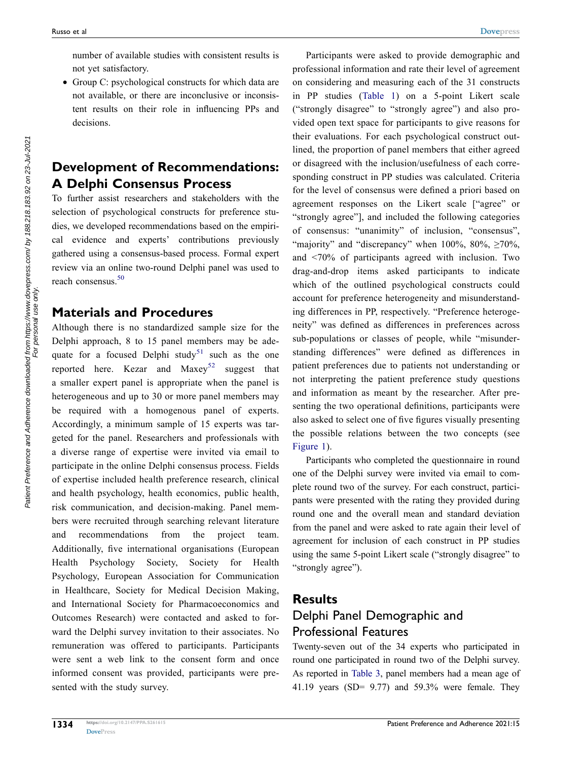number of available studies with consistent results is not yet satisfactory.

• Group C: psychological constructs for which data are not available, or there are inconclusive or inconsistent results on their role in influencing PPs and decisions.

# **Development of Recommendations: A Delphi Consensus Process**

To further assist researchers and stakeholders with the selection of psychological constructs for preference studies, we developed recommendations based on the empirical evidence and experts' contributions previously gathered using a consensus-based process. Formal expert review via an online two-round Delphi panel was used to reach consensus.<sup>50</sup>

#### <span id="page-3-0"></span>**Materials and Procedures**

<span id="page-3-2"></span><span id="page-3-1"></span>Although there is no standardized sample size for the Delphi approach, 8 to 15 panel members may be ade-quate for a focused Delphi study<sup>[51](#page-14-1)</sup> such as the one reported here. Kezar and  $Maxey^{52}$  $Maxey^{52}$  $Maxey^{52}$  suggest that a smaller expert panel is appropriate when the panel is heterogeneous and up to 30 or more panel members may be required with a homogenous panel of experts. Accordingly, a minimum sample of 15 experts was targeted for the panel. Researchers and professionals with a diverse range of expertise were invited via email to participate in the online Delphi consensus process. Fields of expertise included health preference research, clinical and health psychology, health economics, public health, risk communication, and decision-making. Panel members were recruited through searching relevant literature and recommendations from the project team. Additionally, five international organisations (European Health Psychology Society, Society for Health Psychology, European Association for Communication in Healthcare, Society for Medical Decision Making, and International Society for Pharmacoeconomics and Outcomes Research) were contacted and asked to forward the Delphi survey invitation to their associates. No remuneration was offered to participants. Participants were sent a web link to the consent form and once informed consent was provided, participants were presented with the study survey.

Participants were asked to provide demographic and professional information and rate their level of agreement on considering and measuring each of the 31 constructs in PP studies [\(Table 1](#page-4-0)) on a 5-point Likert scale ("strongly disagree" to "strongly agree") and also provided open text space for participants to give reasons for their evaluations. For each psychological construct outlined, the proportion of panel members that either agreed or disagreed with the inclusion/usefulness of each corresponding construct in PP studies was calculated. Criteria for the level of consensus were defined a priori based on agreement responses on the Likert scale ["agree" or "strongly agree"], and included the following categories of consensus: "unanimity" of inclusion, "consensus", "majority" and "discrepancy" when  $100\%$ ,  $80\%$ ,  $\geq 70\%$ , and <70% of participants agreed with inclusion. Two drag-and-drop items asked participants to indicate which of the outlined psychological constructs could account for preference heterogeneity and misunderstanding differences in PP, respectively. "Preference heterogeneity" was defined as differences in preferences across sub-populations or classes of people, while "misunderstanding differences" were defined as differences in patient preferences due to patients not understanding or not interpreting the patient preference study questions and information as meant by the researcher. After presenting the two operational definitions, participants were also asked to select one of five figures visually presenting the possible relations between the two concepts (see [Figure 1\)](#page-7-0).

Participants who completed the questionnaire in round one of the Delphi survey were invited via email to complete round two of the survey. For each construct, participants were presented with the rating they provided during round one and the overall mean and standard deviation from the panel and were asked to rate again their level of agreement for inclusion of each construct in PP studies using the same 5-point Likert scale ("strongly disagree" to "strongly agree").

# **Results** Delphi Panel Demographic and Professional Features

Twenty-seven out of the 34 experts who participated in round one participated in round two of the Delphi survey. As reported in [Table 3](#page-8-0), panel members had a mean age of 41.19 years (SD= 9.77) and 59.3% were female. They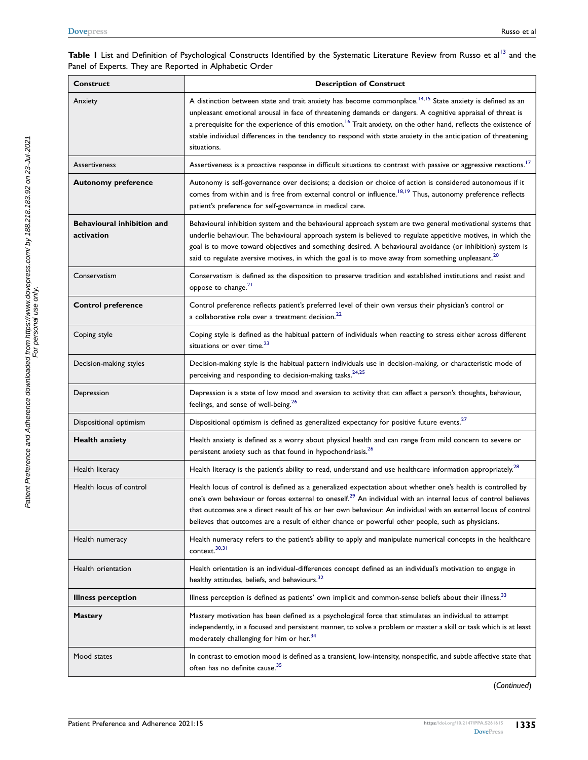#### <span id="page-4-0"></span>Table I List and Definition of Psychological Constructs Identified by the Systematic Literature Review from Russo et al<sup>[13](#page-13-10)</sup> and the Panel of Experts. They are Reported in Alphabetic Order

<span id="page-4-4"></span><span id="page-4-3"></span><span id="page-4-2"></span><span id="page-4-1"></span>

| <b>Construct</b>                                | <b>Description of Construct</b>                                                                                                                                                                                                                                                                                                                                                                                                                                                                      |  |  |
|-------------------------------------------------|------------------------------------------------------------------------------------------------------------------------------------------------------------------------------------------------------------------------------------------------------------------------------------------------------------------------------------------------------------------------------------------------------------------------------------------------------------------------------------------------------|--|--|
| Anxiety                                         | A distinction between state and trait anxiety has become commonplace. <sup>14,15</sup> State anxiety is defined as an<br>unpleasant emotional arousal in face of threatening demands or dangers. A cognitive appraisal of threat is<br>a prerequisite for the experience of this emotion. <sup>16</sup> Trait anxiety, on the other hand, reflects the existence of<br>stable individual differences in the tendency to respond with state anxiety in the anticipation of threatening<br>situations. |  |  |
| <b>Assertiveness</b>                            | Assertiveness is a proactive response in difficult situations to contrast with passive or aggressive reactions. <sup>17</sup>                                                                                                                                                                                                                                                                                                                                                                        |  |  |
| <b>Autonomy preference</b>                      | Autonomy is self-governance over decisions; a decision or choice of action is considered autonomous if it<br>comes from within and is free from external control or influence. <sup>18,19</sup> Thus, autonomy preference reflects<br>patient's preference for self-governance in medical care.                                                                                                                                                                                                      |  |  |
| <b>Behavioural inhibition and</b><br>activation | Behavioural inhibition system and the behavioural approach system are two general motivational systems that<br>underlie behaviour. The behavioural approach system is believed to regulate appetitive motives, in which the<br>goal is to move toward objectives and something desired. A behavioural avoidance (or inhibition) system is<br>said to regulate aversive motives, in which the goal is to move away from something unpleasant. <sup>20</sup>                                           |  |  |
| Conservatism                                    | Conservatism is defined as the disposition to preserve tradition and established institutions and resist and<br>oppose to change. <sup>21</sup>                                                                                                                                                                                                                                                                                                                                                      |  |  |
| <b>Control preference</b>                       | Control preference reflects patient's preferred level of their own versus their physician's control or<br>a collaborative role over a treatment decision. <sup>22</sup>                                                                                                                                                                                                                                                                                                                              |  |  |
| Coping style                                    | Coping style is defined as the habitual pattern of individuals when reacting to stress either across different<br>situations or over time. <sup>23</sup>                                                                                                                                                                                                                                                                                                                                             |  |  |
| Decision-making styles                          | Decision-making style is the habitual pattern individuals use in decision-making, or characteristic mode of<br>perceiving and responding to decision-making tasks. <sup>24,25</sup>                                                                                                                                                                                                                                                                                                                  |  |  |
| Depression                                      | Depression is a state of low mood and aversion to activity that can affect a person's thoughts, behaviour,<br>feelings, and sense of well-being. <sup>26</sup>                                                                                                                                                                                                                                                                                                                                       |  |  |
| Dispositional optimism                          | Dispositional optimism is defined as generalized expectancy for positive future events. <sup>27</sup>                                                                                                                                                                                                                                                                                                                                                                                                |  |  |
| <b>Health anxiety</b>                           | Health anxiety is defined as a worry about physical health and can range from mild concern to severe or<br>persistent anxiety such as that found in hypochondriasis. <sup>26</sup>                                                                                                                                                                                                                                                                                                                   |  |  |
| Health literacy                                 | Health literacy is the patient's ability to read, understand and use healthcare information appropriately. <sup>28</sup>                                                                                                                                                                                                                                                                                                                                                                             |  |  |
| Health locus of control                         | Health locus of control is defined as a generalized expectation about whether one's health is controlled by<br>one's own behaviour or forces external to oneself. <sup>29</sup> An individual with an internal locus of control believes<br>that outcomes are a direct result of his or her own behaviour. An individual with an external locus of control<br>believes that outcomes are a result of either chance or powerful other people, such as physicians.                                     |  |  |
| Health numeracy                                 | Health numeracy refers to the patient's ability to apply and manipulate numerical concepts in the healthcare<br>context. <sup>30,31</sup>                                                                                                                                                                                                                                                                                                                                                            |  |  |
| Health orientation                              | Health orientation is an individual-differences concept defined as an individual's motivation to engage in<br>healthy attitudes, beliefs, and behaviours. <sup>32</sup>                                                                                                                                                                                                                                                                                                                              |  |  |
| <b>Illness perception</b>                       | Illness perception is defined as patients' own implicit and common-sense beliefs about their illness. <sup>33</sup>                                                                                                                                                                                                                                                                                                                                                                                  |  |  |
| <b>Mastery</b>                                  | Mastery motivation has been defined as a psychological force that stimulates an individual to attempt<br>independently, in a focused and persistent manner, to solve a problem or master a skill or task which is at least<br>moderately challenging for him or her. <sup>34</sup>                                                                                                                                                                                                                   |  |  |
| Mood states                                     | In contrast to emotion mood is defined as a transient, low-intensity, nonspecific, and subtle affective state that<br>often has no definite cause. <sup>35</sup>                                                                                                                                                                                                                                                                                                                                     |  |  |

<span id="page-4-18"></span><span id="page-4-17"></span><span id="page-4-16"></span><span id="page-4-15"></span><span id="page-4-14"></span><span id="page-4-13"></span>(*Continued*)

<span id="page-4-12"></span><span id="page-4-11"></span><span id="page-4-10"></span><span id="page-4-9"></span><span id="page-4-8"></span><span id="page-4-7"></span><span id="page-4-6"></span><span id="page-4-5"></span>Patient Preference and Adherence downloaded from https://www.dovepress.com/ by 188.218.183.92 on 23-Jul-2021<br>For personal use only Patient Preference and Adherence downloaded from https://www.dovepress.com/ by 188.218.183.92 on 23-Jul-2021 For<br>For personal use only.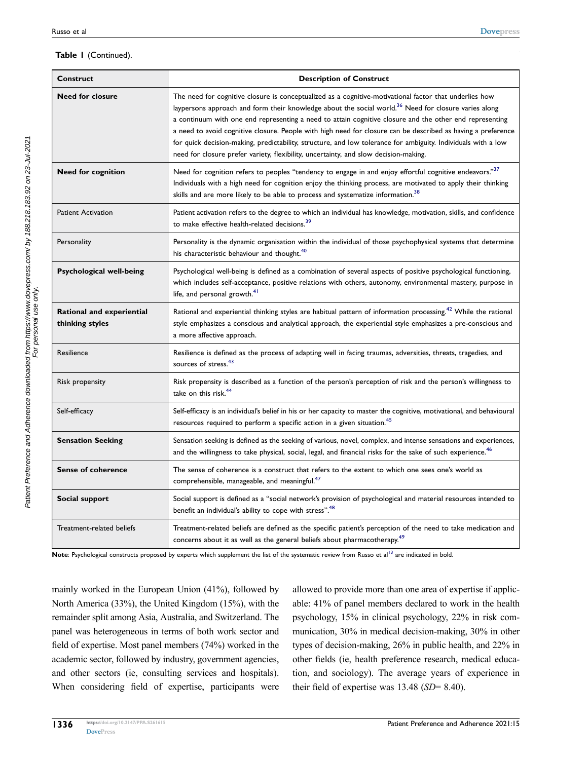#### **Table 1** (Continued).

<span id="page-5-6"></span><span id="page-5-5"></span><span id="page-5-4"></span><span id="page-5-3"></span><span id="page-5-2"></span><span id="page-5-1"></span><span id="page-5-0"></span>

| <b>Construct</b>                             | <b>Description of Construct</b>                                                                                                                                                                                                                                                                                                                                                                                                                                                                                                                                                                                                                                |  |  |
|----------------------------------------------|----------------------------------------------------------------------------------------------------------------------------------------------------------------------------------------------------------------------------------------------------------------------------------------------------------------------------------------------------------------------------------------------------------------------------------------------------------------------------------------------------------------------------------------------------------------------------------------------------------------------------------------------------------------|--|--|
| <b>Need for closure</b>                      | The need for cognitive closure is conceptualized as a cognitive-motivational factor that underlies how<br>laypersons approach and form their knowledge about the social world. <sup>36</sup> Need for closure varies along<br>a continuum with one end representing a need to attain cognitive closure and the other end representing<br>a need to avoid cognitive closure. People with high need for closure can be described as having a preference<br>for quick decision-making, predictability, structure, and low tolerance for ambiguity. Individuals with a low<br>need for closure prefer variety, flexibility, uncertainty, and slow decision-making. |  |  |
| <b>Need for cognition</b>                    | Need for cognition refers to peoples "tendency to engage in and enjoy effortful cognitive endeavors."37<br>Individuals with a high need for cognition enjoy the thinking process, are motivated to apply their thinking<br>skills and are more likely to be able to process and systematize information. <sup>38</sup>                                                                                                                                                                                                                                                                                                                                         |  |  |
| <b>Patient Activation</b>                    | Patient activation refers to the degree to which an individual has knowledge, motivation, skills, and confidence<br>to make effective health-related decisions. <sup>39</sup>                                                                                                                                                                                                                                                                                                                                                                                                                                                                                  |  |  |
| Personality                                  | Personality is the dynamic organisation within the individual of those psychophysical systems that determine<br>his characteristic behaviour and thought. <sup>40</sup>                                                                                                                                                                                                                                                                                                                                                                                                                                                                                        |  |  |
| Psychological well-being                     | Psychological well-being is defined as a combination of several aspects of positive psychological functioning,<br>which includes self-acceptance, positive relations with others, autonomy, environmental mastery, purpose in<br>life, and personal growth. <sup>41</sup>                                                                                                                                                                                                                                                                                                                                                                                      |  |  |
| Rational and experiential<br>thinking styles | Rational and experiential thinking styles are habitual pattern of information processing. <sup>42</sup> While the rational<br>style emphasizes a conscious and analytical approach, the experiential style emphasizes a pre-conscious and<br>a more affective approach.                                                                                                                                                                                                                                                                                                                                                                                        |  |  |
| Resilience                                   | Resilience is defined as the process of adapting well in facing traumas, adversities, threats, tragedies, and<br>sources of stress. <sup>43</sup>                                                                                                                                                                                                                                                                                                                                                                                                                                                                                                              |  |  |
| Risk propensity                              | Risk propensity is described as a function of the person's perception of risk and the person's willingness to<br>take on this risk. <sup>44</sup>                                                                                                                                                                                                                                                                                                                                                                                                                                                                                                              |  |  |
| Self-efficacy                                | Self-efficacy is an individual's belief in his or her capacity to master the cognitive, motivational, and behavioural<br>resources required to perform a specific action in a given situation. <sup>45</sup>                                                                                                                                                                                                                                                                                                                                                                                                                                                   |  |  |
| <b>Sensation Seeking</b>                     | Sensation seeking is defined as the seeking of various, novel, complex, and intense sensations and experiences,<br>and the willingness to take physical, social, legal, and financial risks for the sake of such experience. <sup>46</sup>                                                                                                                                                                                                                                                                                                                                                                                                                     |  |  |
| <b>Sense of coherence</b>                    | The sense of coherence is a construct that refers to the extent to which one sees one's world as<br>comprehensible, manageable, and meaningful. <sup>47</sup>                                                                                                                                                                                                                                                                                                                                                                                                                                                                                                  |  |  |
| Social support                               | Social support is defined as a "social network's provision of psychological and material resources intended to<br>benefit an individual's ability to cope with stress". <sup>48</sup>                                                                                                                                                                                                                                                                                                                                                                                                                                                                          |  |  |
| Treatment-related beliefs                    | Treatment-related beliefs are defined as the specific patient's perception of the need to take medication and<br>concerns about it as well as the general beliefs about pharmacotherapy. <sup>49</sup>                                                                                                                                                                                                                                                                                                                                                                                                                                                         |  |  |

<span id="page-5-13"></span><span id="page-5-12"></span><span id="page-5-11"></span><span id="page-5-10"></span><span id="page-5-9"></span><span id="page-5-8"></span><span id="page-5-7"></span>Note: Psychological constructs proposed by experts which supplement the list of the systematic review from Russo et al<sup>[13](#page-13-10)</sup> are indicated in bold.

mainly worked in the European Union (41%), followed by North America (33%), the United Kingdom (15%), with the remainder split among Asia, Australia, and Switzerland. The panel was heterogeneous in terms of both work sector and field of expertise. Most panel members (74%) worked in the academic sector, followed by industry, government agencies, and other sectors (ie, consulting services and hospitals). When considering field of expertise, participants were allowed to provide more than one area of expertise if applicable: 41% of panel members declared to work in the health psychology, 15% in clinical psychology, 22% in risk communication, 30% in medical decision-making, 30% in other types of decision-making, 26% in public health, and 22% in other fields (ie, health preference research, medical education, and sociology). The average years of experience in their field of expertise was 13.48 (*SD*= 8.40).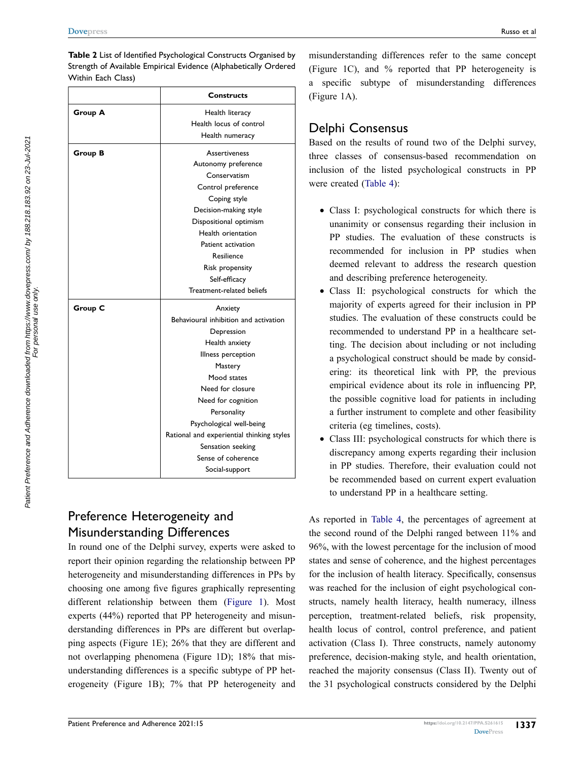<span id="page-6-0"></span>**Table 2** List of Identified Psychological Constructs Organised by Strength of Available Empirical Evidence (Alphabetically Ordered Within Each Class)

|                | <b>Constructs</b>                         |
|----------------|-------------------------------------------|
| <b>Group A</b> | Health literacy                           |
|                | Health locus of control                   |
|                | Health numeracy                           |
| Group B        | <b>Assertiveness</b>                      |
|                | Autonomy preference                       |
|                | Conservatism                              |
|                | Control preference                        |
|                | Coping style                              |
|                | Decision-making style                     |
|                | Dispositional optimism                    |
|                | Health orientation                        |
|                | Patient activation                        |
|                | Resilience                                |
|                | Risk propensity                           |
|                | Self-efficacy                             |
|                | Treatment-related beliefs                 |
| Group C        | Anxiety                                   |
|                | Behavioural inhibition and activation     |
|                | Depression                                |
|                | Health anxiety                            |
|                | Illness perception                        |
|                | Mastery                                   |
|                | Mood states                               |
|                | Need for closure                          |
|                | Need for cognition                        |
|                | Personality                               |
|                | Psychological well-being                  |
|                | Rational and experiential thinking styles |
|                | Sensation seeking                         |
|                | Sense of coherence                        |
|                | Social-support                            |

# Preference Heterogeneity and Misunderstanding Differences

In round one of the Delphi survey, experts were asked to report their opinion regarding the relationship between PP heterogeneity and misunderstanding differences in PPs by choosing one among five figures graphically representing different relationship between them ([Figure 1](#page-7-0)). Most experts (44%) reported that PP heterogeneity and misunderstanding differences in PPs are different but overlapping aspects (Figure 1E); 26% that they are different and not overlapping phenomena (Figure 1D); 18% that misunderstanding differences is a specific subtype of PP heterogeneity (Figure 1B); 7% that PP heterogeneity and

misunderstanding differences refer to the same concept (Figure 1C), and % reported that PP heterogeneity is a specific subtype of misunderstanding differences (Figure 1A).

# Delphi Consensus

Based on the results of round two of the Delphi survey, three classes of consensus-based recommendation on inclusion of the listed psychological constructs in PP were created ([Table 4](#page-9-0)):

- Class I: psychological constructs for which there is unanimity or consensus regarding their inclusion in PP studies. The evaluation of these constructs is recommended for inclusion in PP studies when deemed relevant to address the research question and describing preference heterogeneity.
- Class II: psychological constructs for which the majority of experts agreed for their inclusion in PP studies. The evaluation of these constructs could be recommended to understand PP in a healthcare setting. The decision about including or not including a psychological construct should be made by considering: its theoretical link with PP, the previous empirical evidence about its role in influencing PP, the possible cognitive load for patients in including a further instrument to complete and other feasibility criteria (eg timelines, costs).
- Class III: psychological constructs for which there is discrepancy among experts regarding their inclusion in PP studies. Therefore, their evaluation could not be recommended based on current expert evaluation to understand PP in a healthcare setting.

As reported in [Table 4](#page-9-0), the percentages of agreement at the second round of the Delphi ranged between 11% and 96%, with the lowest percentage for the inclusion of mood states and sense of coherence, and the highest percentages for the inclusion of health literacy. Specifically, consensus was reached for the inclusion of eight psychological constructs, namely health literacy, health numeracy, illness perception, treatment-related beliefs, risk propensity, health locus of control, control preference, and patient activation (Class I). Three constructs, namely autonomy preference, decision-making style, and health orientation, reached the majority consensus (Class II). Twenty out of the 31 psychological constructs considered by the Delphi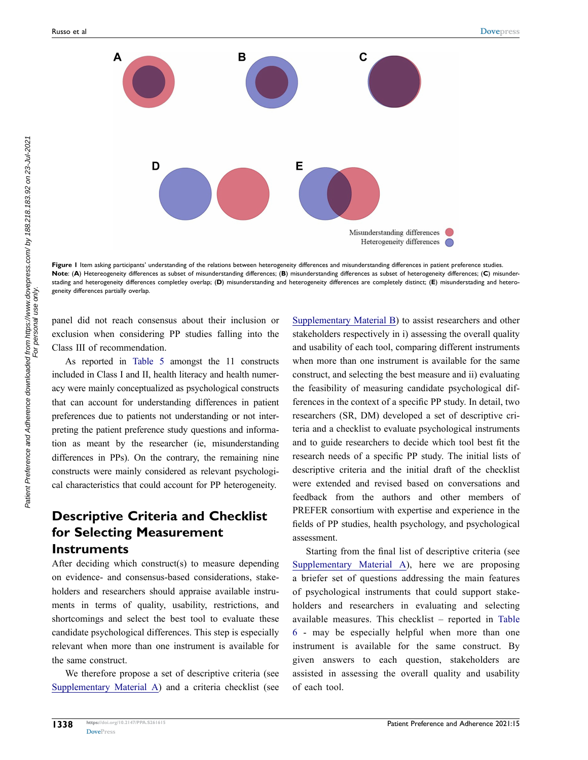<span id="page-7-0"></span>

Figure 1 Item asking participants' understanding of the relations between heterogeneity differences and misunderstanding differences in patient preference studies. **Note**: (**A**) Hetereogeneity differences as subset of misunderstanding differences; (**B**) misunderstanding differences as subset of heterogeneity differences; (**C**) misunderstading and heterogeneity differences completley overlap; (**D**) misunderstanding and heterogeneity differences are completely distinct; (**E**) misunderstading and heterogeneity differences partially overlap.

panel did not reach consensus about their inclusion or exclusion when considering PP studies falling into the Class III of recommendation.

As reported in [Table 5](#page-10-0) amongst the 11 constructs included in Class I and II, health literacy and health numeracy were mainly conceptualized as psychological constructs that can account for understanding differences in patient preferences due to patients not understanding or not interpreting the patient preference study questions and information as meant by the researcher (ie, misunderstanding differences in PPs). On the contrary, the remaining nine constructs were mainly considered as relevant psychological characteristics that could account for PP heterogeneity.

# **Descriptive Criteria and Checklist for Selecting Measurement Instruments**

After deciding which construct(s) to measure depending on evidence- and consensus-based considerations, stakeholders and researchers should appraise available instruments in terms of quality, usability, restrictions, and shortcomings and select the best tool to evaluate these candidate psychological differences. This step is especially relevant when more than one instrument is available for the same construct.

We therefore propose a set of descriptive criteria (see [Supplementary Material A](https://www.dovepress.com/get_supplementary_file.php?f=261615.docx)) and a criteria checklist (see [Supplementary Material B](https://www.dovepress.com/get_supplementary_file.php?f=261615.docx)) to assist researchers and other stakeholders respectively in i) assessing the overall quality and usability of each tool, comparing different instruments when more than one instrument is available for the same construct, and selecting the best measure and ii) evaluating the feasibility of measuring candidate psychological differences in the context of a specific PP study. In detail, two researchers (SR, DM) developed a set of descriptive criteria and a checklist to evaluate psychological instruments and to guide researchers to decide which tool best fit the research needs of a specific PP study. The initial lists of descriptive criteria and the initial draft of the checklist were extended and revised based on conversations and feedback from the authors and other members of PREFER consortium with expertise and experience in the fields of PP studies, health psychology, and psychological assessment.

Starting from the final list of descriptive criteria (see [Supplementary Material A](https://www.dovepress.com/get_supplementary_file.php?f=261615.docx)), here we are proposing a briefer set of questions addressing the main features of psychological instruments that could support stakeholders and researchers in evaluating and selecting available measures. This checklist – reported in [Table](#page-10-1)  [6](#page-10-1) - may be especially helpful when more than one instrument is available for the same construct. By given answers to each question, stakeholders are assisted in assessing the overall quality and usability of each tool.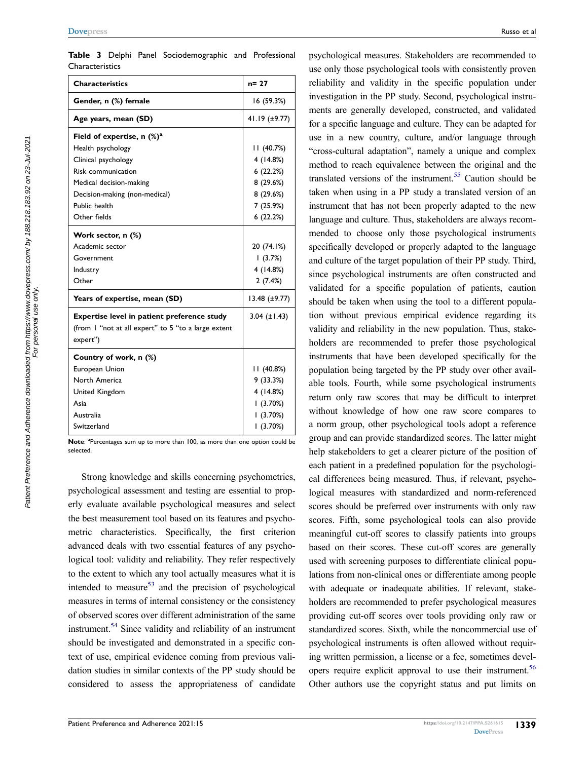<span id="page-8-0"></span>

|                 |  | Table 3 Delphi Panel Sociodemographic and Professional |  |
|-----------------|--|--------------------------------------------------------|--|
| Characteristics |  |                                                        |  |

| <b>Characteristics</b>                              | $n = 27$             |  |
|-----------------------------------------------------|----------------------|--|
| Gender, n (%) female                                | 16 (59.3%)           |  |
| Age years, mean (SD)                                | 41.19 (±9.77)        |  |
| Field of expertise, $n$ (%) <sup>a</sup>            |                      |  |
| Health psychology                                   | 11(40.7%)            |  |
| Clinical psychology                                 | 4(14.8%)             |  |
| Risk communication                                  | 6(22.2%)             |  |
| Medical decision-making                             | 8(29.6%)             |  |
| Decision-making (non-medical)                       | 8(29.6%)             |  |
| Public health                                       | 7 (25.9%)            |  |
| Other fields                                        | 6(22.2%)             |  |
| Work sector, n (%)                                  |                      |  |
| Academic sector                                     | 20 (74.1%)           |  |
| Government                                          | 1(3.7%)              |  |
| Industry                                            | 4(14.8%)             |  |
| Other                                               | 2(7.4%)              |  |
| Years of expertise, mean (SD)                       | $13.48 \ (\pm 9.77)$ |  |
| Expertise level in patient preference study         | $3.04$ ( $\pm$ 1.43) |  |
| (from I "not at all expert" to 5 "to a large extent |                      |  |
| expert")                                            |                      |  |
| Country of work, n (%)                              |                      |  |
| European Union                                      | 11(40.8%)            |  |
| North America                                       | 9(33.3%)             |  |
| United Kingdom                                      | 4(14.8%)             |  |
| Asia                                                | 1(3.70%)             |  |
| Australia                                           | (3.70%)              |  |
| Switzerland                                         | (3.70%)              |  |

Note: <sup>a</sup>Percentages sum up to more than 100, as more than one option could be selected.

<span id="page-8-4"></span><span id="page-8-2"></span><span id="page-8-1"></span>Strong knowledge and skills concerning psychometrics, psychological assessment and testing are essential to properly evaluate available psychological measures and select the best measurement tool based on its features and psychometric characteristics. Specifically, the first criterion advanced deals with two essential features of any psychological tool: validity and reliability. They refer respectively to the extent to which any tool actually measures what it is intended to measure<sup>[53](#page-14-20)</sup> and the precision of psychological measures in terms of internal consistency or the consistency of observed scores over different administration of the same instrument[.54](#page-14-21) Since validity and reliability of an instrument should be investigated and demonstrated in a specific context of use, empirical evidence coming from previous validation studies in similar contexts of the PP study should be considered to assess the appropriateness of candidate

<span id="page-8-3"></span>psychological measures. Stakeholders are recommended to use only those psychological tools with consistently proven reliability and validity in the specific population under investigation in the PP study. Second, psychological instruments are generally developed, constructed, and validated for a specific language and culture. They can be adapted for use in a new country, culture, and/or language through "cross-cultural adaptation", namely a unique and complex method to reach equivalence between the original and the translated versions of the instrument.<sup>55</sup> Caution should be taken when using in a PP study a translated version of an instrument that has not been properly adapted to the new language and culture. Thus, stakeholders are always recommended to choose only those psychological instruments specifically developed or properly adapted to the language and culture of the target population of their PP study. Third, since psychological instruments are often constructed and validated for a specific population of patients, caution should be taken when using the tool to a different population without previous empirical evidence regarding its validity and reliability in the new population. Thus, stakeholders are recommended to prefer those psychological instruments that have been developed specifically for the population being targeted by the PP study over other available tools. Fourth, while some psychological instruments return only raw scores that may be difficult to interpret without knowledge of how one raw score compares to a norm group, other psychological tools adopt a reference group and can provide standardized scores. The latter might help stakeholders to get a clearer picture of the position of each patient in a predefined population for the psychological differences being measured. Thus, if relevant, psychological measures with standardized and norm-referenced scores should be preferred over instruments with only raw scores. Fifth, some psychological tools can also provide meaningful cut-off scores to classify patients into groups based on their scores. These cut-off scores are generally used with screening purposes to differentiate clinical populations from non-clinical ones or differentiate among people with adequate or inadequate abilities. If relevant, stakeholders are recommended to prefer psychological measures providing cut-off scores over tools providing only raw or standardized scores. Sixth, while the noncommercial use of psychological instruments is often allowed without requiring written permission, a license or a fee, sometimes developers require explicit approval to use their instrument.<sup>56</sup> Other authors use the copyright status and put limits on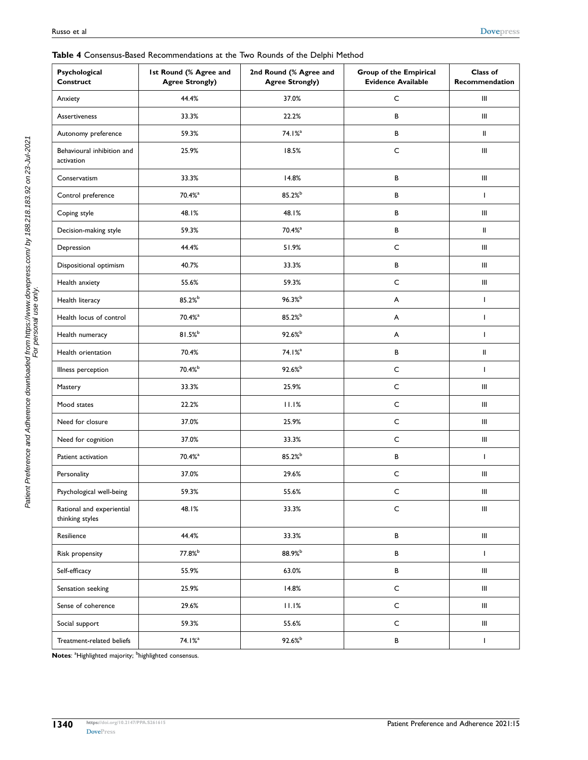#### <span id="page-9-0"></span>**Table 4** Consensus-Based Recommendations at the Two Rounds of the Delphi Method

| Psychological<br><b>Construct</b>            | Ist Round (% Agree and<br><b>Agree Strongly)</b> | 2nd Round (% Agree and<br><b>Agree Strongly)</b> | Group of the Empirical<br><b>Evidence Available</b> | Class of<br>Recommendation         |
|----------------------------------------------|--------------------------------------------------|--------------------------------------------------|-----------------------------------------------------|------------------------------------|
| Anxiety                                      | 44.4%                                            | 37.0%                                            | $\mathsf{C}$                                        | Ш                                  |
| <b>Assertiveness</b>                         | 33.3%                                            | 22.2%                                            | В                                                   | Ⅲ.                                 |
| Autonomy preference                          | 59.3%                                            | 74.1% <sup>a</sup>                               | $\, {\bf B} \,$                                     | II                                 |
| Behavioural inhibition and<br>activation     | 25.9%                                            | 18.5%                                            | $\mathsf{C}$                                        | Ш                                  |
| Conservatism                                 | 33.3%                                            | 14.8%                                            | В                                                   | Ш                                  |
| Control preference                           | 70.4% <sup>a</sup>                               | 85.2%b                                           | В                                                   | T                                  |
| Coping style                                 | 48.1%                                            | 48.1%                                            | В                                                   | Ⅲ.                                 |
| Decision-making style                        | 59.3%                                            | 70.4% <sup>a</sup>                               | В                                                   | II                                 |
| Depression                                   | 44.4%                                            | 51.9%                                            | $\mathsf C$                                         | Ⅲ.                                 |
| Dispositional optimism                       | 40.7%                                            | 33.3%                                            | В                                                   | Ⅲ.                                 |
| Health anxiety                               | 55.6%                                            | 59.3%                                            | $\mathsf{C}$                                        | Ⅲ.                                 |
| Health literacy                              | 85.2%b                                           | $96.3%^{b}$                                      | A                                                   | T                                  |
| Health locus of control                      | $70.4%$ <sup>a</sup>                             | 85.2%b                                           | A                                                   | T                                  |
| Health numeracy                              | $81.5%^{b}$                                      | 92.6%b                                           | A                                                   | T                                  |
| Health orientation                           | 70.4%                                            | 74.1% <sup>a</sup>                               | В                                                   | Ш                                  |
| Illness perception                           | 70.4%b                                           | 92.6%                                            | $\mathsf C$                                         | T                                  |
| Mastery                                      | 33.3%                                            | 25.9%                                            | $\mathsf C$                                         | Ш                                  |
| Mood states                                  | 22.2%                                            | 11.1%                                            | $\mathsf{C}$                                        | Ⅲ.                                 |
| Need for closure                             | 37.0%                                            | 25.9%                                            | $\mathsf C$                                         | Ⅲ.                                 |
| Need for cognition                           | 37.0%                                            | 33.3%                                            | $\mathsf C$                                         | Ⅲ.                                 |
| Patient activation                           | 70.4% <sup>a</sup>                               | 85.2%b                                           | B                                                   | T                                  |
| Personality                                  | 37.0%                                            | 29.6%                                            | $\mathsf C$                                         | Ш                                  |
| Psychological well-being                     | 59.3%                                            | 55.6%                                            | $\mathsf{C}$                                        | Ш                                  |
| Rational and experiential<br>thinking styles | 48.1%                                            | 33.3%                                            | $\mathsf{C}$                                        | $\ensuremath{\mathsf{III}}\xspace$ |
| Resilience                                   | 44.4%                                            | 33.3%                                            | В                                                   | Ⅲ.                                 |
| Risk propensity                              | 77.8%b                                           | 88.9%b                                           | В                                                   | L                                  |
| Self-efficacy                                | 55.9%                                            | 63.0%                                            | $\, {\bf B} \,$                                     | Ⅲ.                                 |
| Sensation seeking                            | 25.9%                                            | 14.8%                                            | $\mathsf C$                                         | Ⅲ.                                 |
| Sense of coherence                           | 29.6%                                            | 11.1%                                            | $\mathsf C$                                         | Ⅲ.                                 |
| Social support                               | 59.3%                                            | 55.6%                                            | $\mathsf C$                                         | $\ensuremath{\mathsf{III}}\xspace$ |
| Treatment-related beliefs                    | $74.1%$ <sup>a</sup>                             | $92.6%^{b}$                                      | $\, {\bf B} \,$                                     | Τ                                  |

**Notes**: <sup>a</sup>Highlighted majority; <sup>b</sup>highlighted consensus.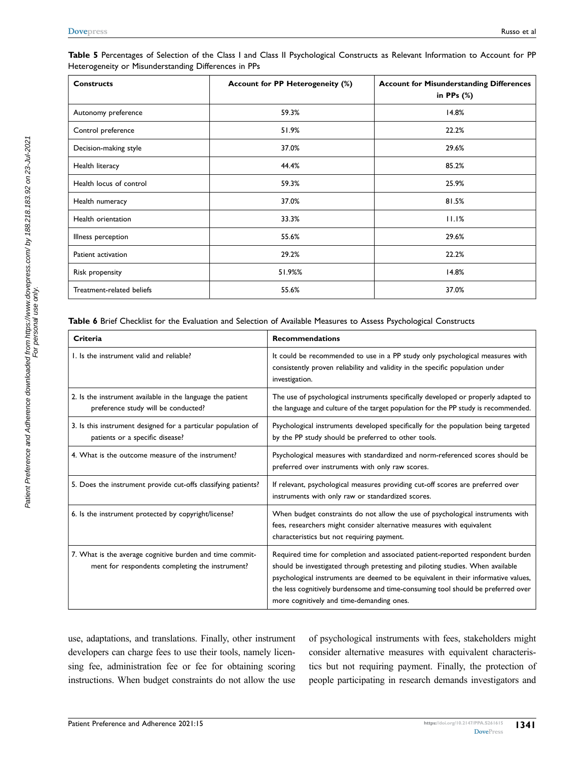| <b>Constructs</b>         | Account for PP Heterogeneity (%) | <b>Account for Misunderstanding Differences</b><br>in PPs $(\%)$ |
|---------------------------|----------------------------------|------------------------------------------------------------------|
| Autonomy preference       | 59.3%                            | 14.8%                                                            |
| Control preference        | 51.9%                            | 22.2%                                                            |
| Decision-making style     | 37.0%                            | 29.6%                                                            |
| Health literacy           | 44.4%                            | 85.2%                                                            |
| Health locus of control   | 59.3%                            | 25.9%                                                            |
| Health numeracy           | 37.0%                            | 81.5%                                                            |
| Health orientation        | 33.3%                            | 11.1%                                                            |
| Illness perception        | 55.6%                            | 29.6%                                                            |
| Patient activation        | 29.2%                            | 22.2%                                                            |
| Risk propensity           | 51.9%%                           | 14.8%                                                            |
| Treatment-related beliefs | 55.6%                            | 37.0%                                                            |

<span id="page-10-0"></span>**Table 5** Percentages of Selection of the Class I and Class II Psychological Constructs as Relevant Information to Account for PP Heterogeneity or Misunderstanding Differences in PPs

<span id="page-10-1"></span>**Table 6** Brief Checklist for the Evaluation and Selection of Available Measures to Assess Psychological Constructs

| Criteria                                                                                                    | <b>Recommendations</b>                                                                                                                                                                                                                                                                                                                                                                  |
|-------------------------------------------------------------------------------------------------------------|-----------------------------------------------------------------------------------------------------------------------------------------------------------------------------------------------------------------------------------------------------------------------------------------------------------------------------------------------------------------------------------------|
| 1. Is the instrument valid and reliable?                                                                    | It could be recommended to use in a PP study only psychological measures with<br>consistently proven reliability and validity in the specific population under<br>investigation.                                                                                                                                                                                                        |
| 2. Is the instrument available in the language the patient<br>preference study will be conducted?           | The use of psychological instruments specifically developed or properly adapted to<br>the language and culture of the target population for the PP study is recommended.                                                                                                                                                                                                                |
| 3. Is this instrument designed for a particular population of<br>patients or a specific disease?            | Psychological instruments developed specifically for the population being targeted<br>by the PP study should be preferred to other tools.                                                                                                                                                                                                                                               |
| 4. What is the outcome measure of the instrument?                                                           | Psychological measures with standardized and norm-referenced scores should be<br>preferred over instruments with only raw scores.                                                                                                                                                                                                                                                       |
| 5. Does the instrument provide cut-offs classifying patients?                                               | If relevant, psychological measures providing cut-off scores are preferred over<br>instruments with only raw or standardized scores.                                                                                                                                                                                                                                                    |
| 6. Is the instrument protected by copyright/license?                                                        | When budget constraints do not allow the use of psychological instruments with<br>fees, researchers might consider alternative measures with equivalent<br>characteristics but not requiring payment.                                                                                                                                                                                   |
| 7. What is the average cognitive burden and time commit-<br>ment for respondents completing the instrument? | Required time for completion and associated patient-reported respondent burden<br>should be investigated through pretesting and piloting studies. When available<br>psychological instruments are deemed to be equivalent in their informative values,<br>the less cognitively burdensome and time-consuming tool should be preferred over<br>more cognitively and time-demanding ones. |

use, adaptations, and translations. Finally, other instrument developers can charge fees to use their tools, namely licensing fee, administration fee or fee for obtaining scoring instructions. When budget constraints do not allow the use of psychological instruments with fees, stakeholders might consider alternative measures with equivalent characteristics but not requiring payment. Finally, the protection of people participating in research demands investigators and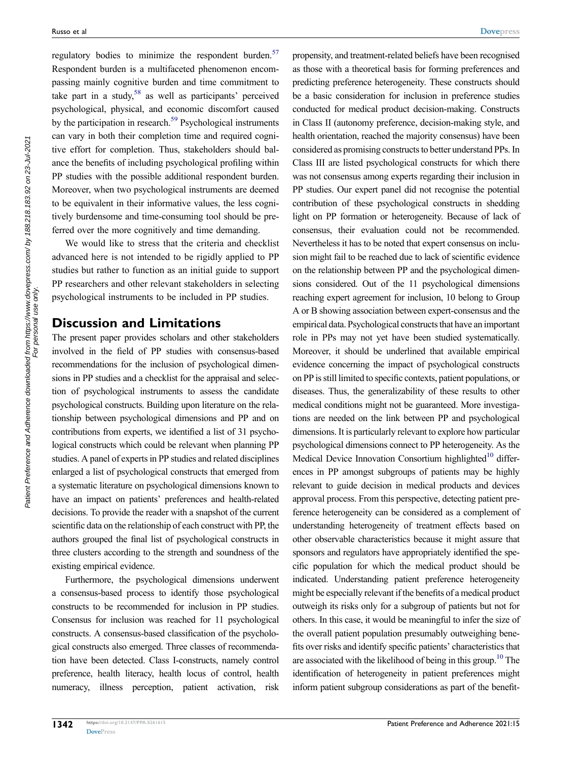<span id="page-11-2"></span><span id="page-11-1"></span><span id="page-11-0"></span>regulatory bodies to minimize the respondent burden. $57$ Respondent burden is a multifaceted phenomenon encompassing mainly cognitive burden and time commitment to take part in a study,  $58$  as well as participants' perceived psychological, physical, and economic discomfort caused by the participation in research.<sup>[59](#page-14-26)</sup> Psychological instruments can vary in both their completion time and required cognitive effort for completion. Thus, stakeholders should balance the benefits of including psychological profiling within PP studies with the possible additional respondent burden. Moreover, when two psychological instruments are deemed to be equivalent in their informative values, the less cognitively burdensome and time-consuming tool should be preferred over the more cognitively and time demanding.

We would like to stress that the criteria and checklist advanced here is not intended to be rigidly applied to PP studies but rather to function as an initial guide to support PP researchers and other relevant stakeholders in selecting psychological instruments to be included in PP studies.

# **Discussion and Limitations**

The present paper provides scholars and other stakeholders involved in the field of PP studies with consensus-based recommendations for the inclusion of psychological dimensions in PP studies and a checklist for the appraisal and selection of psychological instruments to assess the candidate psychological constructs. Building upon literature on the relationship between psychological dimensions and PP and on contributions from experts, we identified a list of 31 psychological constructs which could be relevant when planning PP studies. A panel of experts in PP studies and related disciplines enlarged a list of psychological constructs that emerged from a systematic literature on psychological dimensions known to have an impact on patients' preferences and health-related decisions. To provide the reader with a snapshot of the current scientific data on the relationship of each construct with PP, the authors grouped the final list of psychological constructs in three clusters according to the strength and soundness of the existing empirical evidence.

Furthermore, the psychological dimensions underwent a consensus-based process to identify those psychological constructs to be recommended for inclusion in PP studies. Consensus for inclusion was reached for 11 psychological constructs. A consensus-based classification of the psychological constructs also emerged. Three classes of recommendation have been detected. Class I-constructs, namely control preference, health literacy, health locus of control, health numeracy, illness perception, patient activation, risk

propensity, and treatment-related beliefs have been recognised as those with a theoretical basis for forming preferences and predicting preference heterogeneity. These constructs should be a basic consideration for inclusion in preference studies conducted for medical product decision-making. Constructs in Class II (autonomy preference, decision-making style, and health orientation, reached the majority consensus) have been considered as promising constructs to better understand PPs. In Class III are listed psychological constructs for which there was not consensus among experts regarding their inclusion in PP studies. Our expert panel did not recognise the potential contribution of these psychological constructs in shedding light on PP formation or heterogeneity. Because of lack of consensus, their evaluation could not be recommended. Nevertheless it has to be noted that expert consensus on inclusion might fail to be reached due to lack of scientific evidence on the relationship between PP and the psychological dimensions considered. Out of the 11 psychological dimensions reaching expert agreement for inclusion, 10 belong to Group A or B showing association between expert-consensus and the empirical data. Psychological constructs that have an important role in PPs may not yet have been studied systematically. Moreover, it should be underlined that available empirical evidence concerning the impact of psychological constructs on PP is still limited to specific contexts, patient populations, or diseases. Thus, the generalizability of these results to other medical conditions might not be guaranteed. More investigations are needed on the link between PP and psychological dimensions. It is particularly relevant to explore how particular psychological dimensions connect to PP heterogeneity. As the Medical Device Innovation Consortium highlighted $10$  differences in PP amongst subgroups of patients may be highly relevant to guide decision in medical products and devices approval process. From this perspective, detecting patient preference heterogeneity can be considered as a complement of understanding heterogeneity of treatment effects based on other observable characteristics because it might assure that sponsors and regulators have appropriately identified the specific population for which the medical product should be indicated. Understanding patient preference heterogeneity might be especially relevant if the benefits of a medical product outweigh its risks only for a subgroup of patients but not for others. In this case, it would be meaningful to infer the size of the overall patient population presumably outweighing benefits over risks and identify specific patients' characteristics that are associated with the likelihood of being in this group[.10](#page-13-7) The identification of heterogeneity in patient preferences might inform patient subgroup considerations as part of the benefit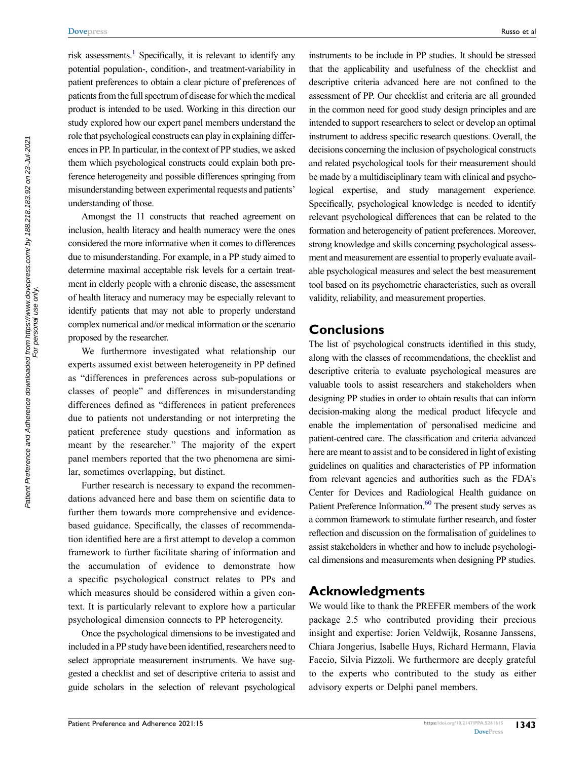risk assessments.<sup>1</sup> Specifically, it is relevant to identify any potential population-, condition-, and treatment-variability in patient preferences to obtain a clear picture of preferences of patients from the full spectrum of disease for which the medical product is intended to be used. Working in this direction our study explored how our expert panel members understand the role that psychological constructs can play in explaining differences in PP. In particular, in the context of PP studies, we asked them which psychological constructs could explain both preference heterogeneity and possible differences springing from misunderstanding between experimental requests and patients' understanding of those.

Amongst the 11 constructs that reached agreement on inclusion, health literacy and health numeracy were the ones considered the more informative when it comes to differences due to misunderstanding. For example, in a PP study aimed to determine maximal acceptable risk levels for a certain treatment in elderly people with a chronic disease, the assessment of health literacy and numeracy may be especially relevant to identify patients that may not able to properly understand complex numerical and/or medical information or the scenario proposed by the researcher.

We furthermore investigated what relationship our experts assumed exist between heterogeneity in PP defined as "differences in preferences across sub-populations or classes of people" and differences in misunderstanding differences defined as "differences in patient preferences due to patients not understanding or not interpreting the patient preference study questions and information as meant by the researcher." The majority of the expert panel members reported that the two phenomena are similar, sometimes overlapping, but distinct.

Further research is necessary to expand the recommendations advanced here and base them on scientific data to further them towards more comprehensive and evidencebased guidance. Specifically, the classes of recommendation identified here are a first attempt to develop a common framework to further facilitate sharing of information and the accumulation of evidence to demonstrate how a specific psychological construct relates to PPs and which measures should be considered within a given context. It is particularly relevant to explore how a particular psychological dimension connects to PP heterogeneity.

Once the psychological dimensions to be investigated and included in a PP study have been identified, researchers need to select appropriate measurement instruments. We have suggested a checklist and set of descriptive criteria to assist and guide scholars in the selection of relevant psychological instruments to be include in PP studies. It should be stressed that the applicability and usefulness of the checklist and descriptive criteria advanced here are not confined to the assessment of PP. Our checklist and criteria are all grounded in the common need for good study design principles and are intended to support researchers to select or develop an optimal instrument to address specific research questions. Overall, the decisions concerning the inclusion of psychological constructs and related psychological tools for their measurement should be made by a multidisciplinary team with clinical and psychological expertise, and study management experience. Specifically, psychological knowledge is needed to identify relevant psychological differences that can be related to the formation and heterogeneity of patient preferences. Moreover, strong knowledge and skills concerning psychological assessment and measurement are essential to properly evaluate available psychological measures and select the best measurement tool based on its psychometric characteristics, such as overall validity, reliability, and measurement properties.

#### **Conclusions**

The list of psychological constructs identified in this study, along with the classes of recommendations, the checklist and descriptive criteria to evaluate psychological measures are valuable tools to assist researchers and stakeholders when designing PP studies in order to obtain results that can inform decision-making along the medical product lifecycle and enable the implementation of personalised medicine and patient-centred care. The classification and criteria advanced here are meant to assist and to be considered in light of existing guidelines on qualities and characteristics of PP information from relevant agencies and authorities such as the FDA's Center for Devices and Radiological Health guidance on Patient Preference Information.<sup>60</sup> The present study serves as a common framework to stimulate further research, and foster reflection and discussion on the formalisation of guidelines to assist stakeholders in whether and how to include psychological dimensions and measurements when designing PP studies.

#### <span id="page-12-0"></span>**Acknowledgments**

We would like to thank the PREFER members of the work package 2.5 who contributed providing their precious insight and expertise: Jorien Veldwijk, Rosanne Janssens, Chiara Jongerius, Isabelle Huys, Richard Hermann, Flavia Faccio, Silvia Pizzoli. We furthermore are deeply grateful to the experts who contributed to the study as either advisory experts or Delphi panel members.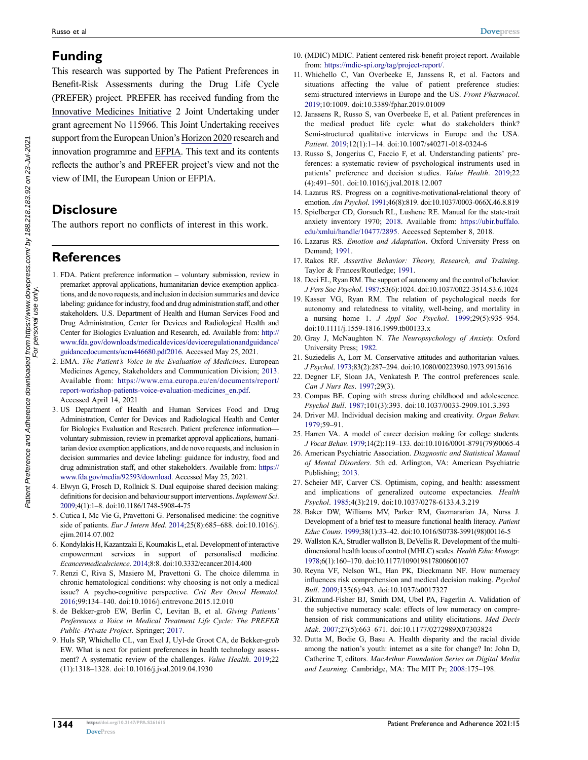# **Funding**

This research was supported by The Patient Preferences in Benefit-Risk Assessments during the Drug Life Cycle (PREFER) project. PREFER has received funding from the Innovative Medicines Initiative 2 Joint Undertaking under grant agreement No 115966. This Joint Undertaking receives support from the European Union's Horizon 2020 research and innovation programme and EFPIA. This text and its contents reflects the author's and PREFER project's view and not the view of IMI, the European Union or EFPIA.

# **Disclosure**

The authors report no conflicts of interest in this work.

# **References**

- <span id="page-13-0"></span>1. FDA. Patient preference information – voluntary submission, review in premarket approval applications, humanitarian device exemption applications, and de novo requests, and inclusion in decision summaries and device labeling: guidance for industry, food and drug administration staff, and other stakeholders. U.S. Department of Health and Human Services Food and Drug Administration, Center for Devices and Radiological Health and Center for Biologics Evaluation and Research, ed. Available from: [http://](http://www.fda.gov/downloads/medicaldevices/deviceregulationandguidance/guidancedocuments/ucm446680.pdf2016)  [www.fda.gov/downloads/medicaldevices/deviceregulationandguidance/](http://www.fda.gov/downloads/medicaldevices/deviceregulationandguidance/guidancedocuments/ucm446680.pdf2016)  [guidancedocuments/ucm446680.pdf2016](http://www.fda.gov/downloads/medicaldevices/deviceregulationandguidance/guidancedocuments/ucm446680.pdf2016). Accessed May 25, 2021.
- <span id="page-13-1"></span>2. EMA. *The Patient's Voice in the Evaluation of Medicines*. European Medicines Agency, Stakeholders and Communication Division; [2013.](#page-1-0) Available from: [https://www.ema.europa.eu/en/documents/report/](https://www.ema.europa.eu/en/documents/report/report-workshop-patients-voice-evaluation-medicines_en.pdf)  [report-workshop-patients-voice-evaluation-medicines\\_en.pdf.](https://www.ema.europa.eu/en/documents/report/report-workshop-patients-voice-evaluation-medicines_en.pdf) Accessed April 14, 2021
- <span id="page-13-2"></span>3. US Department of Health and Human Services Food and Drug Administration, Center for Devices and Radiological Health and Center for Biologics Evaluation and Research. Patient preference information voluntary submission, review in premarket approval applications, humanitarian device exemption applications, and de novo requests, and inclusion in decision summaries and device labeling: guidance for industry, food and drug administration staff, and other stakeholders. Available from: [https://](https://www.fda.gov/media/92593/download)  [www.fda.gov/media/92593/download](https://www.fda.gov/media/92593/download). Accessed May 25, 2021.
- <span id="page-13-3"></span>4. Elwyn G, Frosch D, Rollnick S. Dual equipoise shared decision making: definitions for decision and behaviour support interventions. *Implement Sci*. [2009](#page-1-1);4(1):1–8. doi:[10.1186/1748-5908-4-75](https://doi.org/10.1186/1748-5908-4-75)
- <span id="page-13-4"></span>5. Cutica I, Mc Vie G, Pravettoni G. Personalised medicine: the cognitive side of patients. *Eur J Intern Med*. [2014;](#page-1-2)25(8):685–688. doi:[10.1016/j.](https://doi.org/10.1016/j.ejim.2014.07.002)  [ejim.2014.07.002](https://doi.org/10.1016/j.ejim.2014.07.002)
- 6. Kondylakis H, Kazantzaki E, Koumakis L, et al. Development of interactive empowerment services in support of personalised medicine. *Ecancermedicalscience*. 2014;8:8. doi:[10.3332/ecancer.2014.400](https://doi.org/10.3332/ecancer.2014.400)
- 7. Renzi C, Riva S, Masiero M, Pravettoni G. The choice dilemma in chronic hematological conditions: why choosing is not only a medical issue? A psycho-cognitive perspective. *Crit Rev Oncol Hematol*. 2016;99:134–140. doi:[10.1016/j.critrevonc.2015.12.010](https://doi.org/10.1016/j.critrevonc.2015.12.010)
- <span id="page-13-5"></span>8. de Bekker-grob EW, Berlin C, Levitan B, et al. *Giving Patients' Preferences a Voice in Medical Treatment Life Cycle: The PREFER Public–Private Project*. Springer; [2017](#page-1-3).
- <span id="page-13-6"></span>9. Huls SP, Whichello CL, van Exel J, Uyl-de Groot CA, de Bekker-grob EW. What is next for patient preferences in health technology assessment? A systematic review of the challenges. *Value Health*. [2019](#page-1-4);22 (11):1318–1328. doi:[10.1016/j.jval.2019.04.1930](https://doi.org/10.1016/j.jval.2019.04.1930)
- <span id="page-13-7"></span>10. (MDIC) MDIC. Patient centered risk-benefit project report. Available from: <https://mdic-spi.org/tag/project-report/>.
- <span id="page-13-8"></span>11. Whichello C, Van Overbeeke E, Janssens R, et al. Factors and situations affecting the value of patient preference studies: semi-structured interviews in Europe and the US. *Front Pharmacol*. [2019](#page-1-5);10:1009. doi:[10.3389/fphar.2019.01009](https://doi.org/10.3389/fphar.2019.01009)
- <span id="page-13-9"></span>12. Janssens R, Russo S, van Overbeeke E, et al. Patient preferences in the medical product life cycle: what do stakeholders think? Semi-structured qualitative interviews in Europe and the USA. *Patient*. [2019](#page-1-5);12(1):1–14. doi:[10.1007/s40271-018-0324-6](https://doi.org/10.1007/s40271-018-0324-6)
- <span id="page-13-10"></span>13. Russo S, Jongerius C, Faccio F, et al. Understanding patients' preferences: a systematic review of psychological instruments used in patients' preference and decision studies. *Value Health*. [2019](#page-2-0);22 (4):491–501. doi:[10.1016/j.jval.2018.12.007](https://doi.org/10.1016/j.jval.2018.12.007)
- <span id="page-13-11"></span>14. Lazarus RS. Progress on a cognitive-motivational-relational theory of emotion. *Am Psychol*. [1991](#page-4-1);46(8):819. doi:[10.1037/0003-066X.46.8.819](https://doi.org/10.1037/0003-066X.46.8.819)
- <span id="page-13-12"></span>15. Spielberger CD, Gorsuch RL, Lushene RE. Manual for the state-trait anxiety inventory 1970; [2018.](#page-4-1) Available from: [https://ubir.buffalo.](https://ubir.buffalo.edu/xmlui/handle/10477/2895) [edu/xmlui/handle/10477/2895.](https://ubir.buffalo.edu/xmlui/handle/10477/2895) Accessed September 8, 2018.
- <span id="page-13-13"></span>16. Lazarus RS. *Emotion and Adaptation*. Oxford University Press on Demand; [1991](#page-4-2).
- <span id="page-13-14"></span>17. Rakos RF. *Assertive Behavior: Theory, Research, and Training*. Taylor & Frances/Routledge; [1991.](#page-4-3)
- <span id="page-13-15"></span>18. Deci EL, Ryan RM. The support of autonomy and the control of behavior. *J Pers Soc Psychol*. [1987](#page-4-4);53(6):1024. doi:[10.1037/0022-3514.53.6.1024](https://doi.org/10.1037/0022-3514.53.6.1024)
- <span id="page-13-16"></span>19. Kasser VG, Ryan RM. The relation of psychological needs for autonomy and relatedness to vitality, well-being, and mortality in a nursing home 1. *J Appl Soc Psychol*. [1999;](#page-4-4)29(5):935–954. doi:[10.1111/j.1559-1816.1999.tb00133.x](https://doi.org/10.1111/j.1559-1816.1999.tb00133.x)
- <span id="page-13-17"></span>20. Gray J, McNaughton N. *The Neuropsychology of Anxiety*. Oxford University Press; [1982.](#page-4-5)
- <span id="page-13-18"></span>21. Suziedelis A, Lorr M. Conservative attitudes and authoritarian values. *J Psychol*. [1973](#page-4-6);83(2):287–294. doi:[10.1080/00223980.1973.9915616](https://doi.org/10.1080/00223980.1973.9915616)
- <span id="page-13-19"></span>22. Degner LF, Sloan JA, Venkatesh P. The control preferences scale. *Can J Nurs Res*. [1997;](#page-4-7)29(3).
- <span id="page-13-20"></span>23. Compas BE. Coping with stress during childhood and adolescence. *Psychol Bull*. [1987](#page-4-8);101(3):393. doi:[10.1037/0033-2909.101.3.393](https://doi.org/10.1037/0033-2909.101.3.393)
- <span id="page-13-21"></span>24. Driver MJ. Individual decision making and creativity. *Organ Behav*. [1979](#page-4-9);59–91.
- <span id="page-13-22"></span>25. Harren VA. A model of career decision making for college students. *J Vocat Behav*. [1979;](#page-4-9)14(2):119–133. doi:[10.1016/0001-8791\(79\)90065-4](https://doi.org/10.1016/0001-8791(79)90065-4)
- <span id="page-13-23"></span>26. American Psychiatric Association. *Diagnostic and Statistical Manual of Mental Disorders*. 5th ed. Arlington, VA: American Psychiatric Publishing; [2013](#page-4-10).
- <span id="page-13-24"></span>27. Scheier MF, Carver CS. Optimism, coping, and health: assessment and implications of generalized outcome expectancies. *Health Psychol*. [1985](#page-4-11);4(3):219. doi:[10.1037/0278-6133.4.3.219](https://doi.org/10.1037/0278-6133.4.3.219)
- <span id="page-13-25"></span>28. Baker DW, Williams MV, Parker RM, Gazmararian JA, Nurss J. Development of a brief test to measure functional health literacy. *Patient Educ Couns*. [1999](#page-4-12);38(1):33–42. doi:[10.1016/S0738-3991\(98\)00116-5](https://doi.org/10.1016/S0738-3991(98)00116-5)
- <span id="page-13-26"></span>29. Wallston KA, Strudler wallston B, DeVellis R. Development of the multidimensional health locus of control (MHLC) scales. *Health Educ Monogr*. [1978;](#page-4-13)6(1):160–170. doi:[10.1177/109019817800600107](https://doi.org/10.1177/109019817800600107)
- <span id="page-13-27"></span>30. Reyna VF, Nelson WL, Han PK, Dieckmann NF. How numeracy influences risk comprehension and medical decision making. *Psychol Bull*. [2009](#page-4-14);135(6):943. doi:[10.1037/a0017327](https://doi.org/10.1037/a0017327)
- <span id="page-13-28"></span>31. Zikmund-Fisher BJ, Smith DM, Ubel PA, Fagerlin A. Validation of the subjective numeracy scale: effects of low numeracy on comprehension of risk communications and utility elicitations. *Med Decis Mak*. [2007](#page-4-14);27(5):663–671. doi:[10.1177/0272989X07303824](https://doi.org/10.1177/0272989X07303824)
- <span id="page-13-29"></span>32. Dutta M, Bodie G, Basu A. Health disparity and the racial divide among the nation's youth: internet as a site for change? In: John D, Catherine T, editors. *MacArthur Foundation Series on Digital Media and Learning*. Cambridge, MA: The MIT Pr; [2008](#page-4-15):175–198.